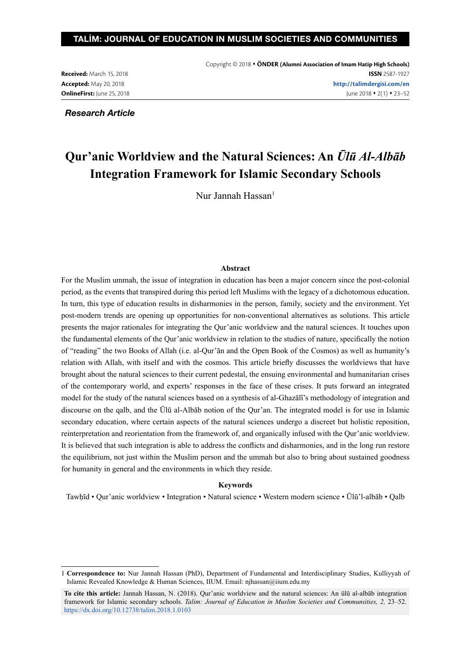#### TALİM: JOURNAL OF EDUCATION IN MUSLIM SOCIETIES AND COMMUNITIES

**Received:** March 15, 2018 **Accepted:** May 20, 2018 **OnlineFirst:** June 25, 2018

*Research Article*

## **Qur'anic Worldview and the Natural Sciences: An** *Ūlū Al-Albāb* **Integration Framework for Islamic Secondary Schools**

Nur Jannah Hassan1

#### **Abstract**

For the Muslim ummah, the issue of integration in education has been a major concern since the post-colonial period, as the events that transpired during this period left Muslims with the legacy of a dichotomous education. In turn, this type of education results in disharmonies in the person, family, society and the environment. Yet post-modern trends are opening up opportunities for non-conventional alternatives as solutions. This article presents the major rationales for integrating the Qur'anic worldview and the natural sciences. It touches upon the fundamental elements of the Qur'anic worldview in relation to the studies of nature, specifically the notion of "reading" the two Books of Allah (i.e. al-Qur'ān and the Open Book of the Cosmos) as well as humanity's relation with Allah, with itself and with the cosmos. This article briefly discusses the worldviews that have brought about the natural sciences to their current pedestal, the ensuing environmental and humanitarian crises of the contemporary world, and experts' responses in the face of these crises. It puts forward an integrated model for the study of the natural sciences based on a synthesis of al-Ghazālī's methodology of integration and discourse on the qalb, and the Ūlū al-Albāb notion of the Qur'an. The integrated model is for use in Islamic secondary education, where certain aspects of the natural sciences undergo a discreet but holistic reposition, reinterpretation and reorientation from the framework of, and organically infused with the Qur'anic worldview. It is believed that such integration is able to address the conflicts and disharmonies, and in the long run restore the equilibrium, not just within the Muslim person and the ummah but also to bring about sustained goodness for humanity in general and the environments in which they reside.

#### **Keywords**

Tawḥīd • Qur'anic worldview • Integration • Natural science • Western modern science • Ūlū'l-albāb • Qalb

<sup>1</sup> **Correspondence to:** Nur Jannah Hassan (PhD), Department of Fundamental and Interdisciplinary Studies, Kulliyyah of Islamic Revealed Knowledge & Human Sciences, IIUM. Email: njhassan@iium.edu.my

**To cite this article:** Jannah Hassan, N. (2018). Qur'anic worldview and the natural sciences: An ūlū al-albāb integration framework for Islamic secondary schools. *Talim: Journal of Education in Muslim Societies and Communıities, 2,* 23–52. https://dx.doi.org/10.12738/talim.2018.1.0103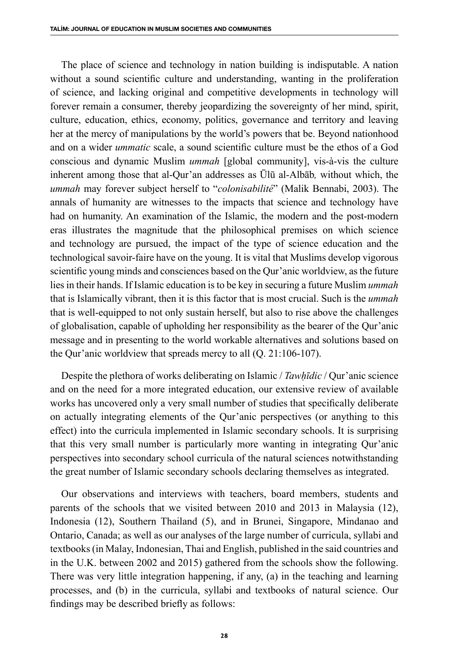The place of science and technology in nation building is indisputable. A nation without a sound scientific culture and understanding, wanting in the proliferation of science, and lacking original and competitive developments in technology will forever remain a consumer, thereby jeopardizing the sovereignty of her mind, spirit, culture, education, ethics, economy, politics, governance and territory and leaving her at the mercy of manipulations by the world's powers that be. Beyond nationhood and on a wider *ummatic* scale, a sound scientific culture must be the ethos of a God conscious and dynamic Muslim *ummah* [global community], vis-à-vis the culture inherent among those that al-Qur'an addresses as Ūlū al-Albāb*,* without which, the *ummah* may forever subject herself to "*colonisabilité*" (Malik Bennabi, 2003). The annals of humanity are witnesses to the impacts that science and technology have had on humanity. An examination of the Islamic, the modern and the post-modern eras illustrates the magnitude that the philosophical premises on which science and technology are pursued, the impact of the type of science education and the technological savoir-faire have on the young. It is vital that Muslims develop vigorous scientific young minds and consciences based on the Qur'anic worldview, as the future lies in their hands. If Islamic education is to be key in securing a future Muslim *ummah* that is Islamically vibrant, then it is this factor that is most crucial. Such is the *ummah* that is well-equipped to not only sustain herself, but also to rise above the challenges of globalisation, capable of upholding her responsibility as the bearer of the Qur'anic message and in presenting to the world workable alternatives and solutions based on the Qur'anic worldview that spreads mercy to all (Q. 21:106-107).

Despite the plethora of works deliberating on Islamic / *Tawḥīdic* / Qur'anic science and on the need for a more integrated education, our extensive review of available works has uncovered only a very small number of studies that specifically deliberate on actually integrating elements of the Qur'anic perspectives (or anything to this effect) into the curricula implemented in Islamic secondary schools. It is surprising that this very small number is particularly more wanting in integrating Qur'anic perspectives into secondary school curricula of the natural sciences notwithstanding the great number of Islamic secondary schools declaring themselves as integrated.

Our observations and interviews with teachers, board members, students and parents of the schools that we visited between 2010 and 2013 in Malaysia (12), Indonesia (12), Southern Thailand (5), and in Brunei, Singapore, Mindanao and Ontario, Canada; as well as our analyses of the large number of curricula, syllabi and textbooks (in Malay, Indonesian, Thai and English, published in the said countries and in the U.K. between 2002 and 2015) gathered from the schools show the following. There was very little integration happening, if any, (a) in the teaching and learning processes, and (b) in the curricula, syllabi and textbooks of natural science. Our findings may be described briefly as follows: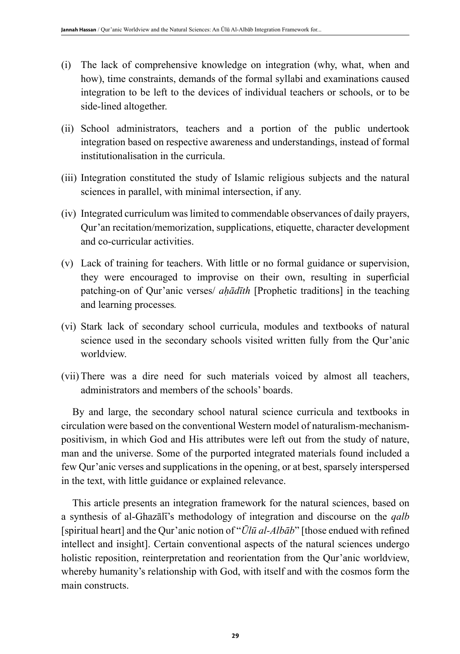- (i) The lack of comprehensive knowledge on integration (why, what, when and how), time constraints, demands of the formal syllabi and examinations caused integration to be left to the devices of individual teachers or schools, or to be side-lined altogether.
- (ii) School administrators, teachers and a portion of the public undertook integration based on respective awareness and understandings, instead of formal institutionalisation in the curricula.
- (iii) Integration constituted the study of Islamic religious subjects and the natural sciences in parallel, with minimal intersection, if any.
- (iv) Integrated curriculum was limited to commendable observances of daily prayers, Qur'an recitation/memorization, supplications, etiquette, character development and co-curricular activities.
- (v) Lack of training for teachers. With little or no formal guidance or supervision, they were encouraged to improvise on their own, resulting in superficial patching-on of Qur'anic verses/ *aḥādīth* [Prophetic traditions] in the teaching and learning processes*.*
- (vi) Stark lack of secondary school curricula, modules and textbooks of natural science used in the secondary schools visited written fully from the Qur'anic worldview.
- (vii) There was a dire need for such materials voiced by almost all teachers, administrators and members of the schools' boards.

By and large, the secondary school natural science curricula and textbooks in circulation were based on the conventional Western model of naturalism-mechanismpositivism, in which God and His attributes were left out from the study of nature, man and the universe. Some of the purported integrated materials found included a few Qur'anic verses and supplications in the opening, or at best, sparsely interspersed in the text, with little guidance or explained relevance.

This article presents an integration framework for the natural sciences, based on a synthesis of al-Ghazālī's methodology of integration and discourse on the *qalb* [spiritual heart] and the Qur'anic notion of "*Ūlū al-Albāb*" [those endued with refined intellect and insight]. Certain conventional aspects of the natural sciences undergo holistic reposition, reinterpretation and reorientation from the Qur'anic worldview, whereby humanity's relationship with God, with itself and with the cosmos form the main constructs.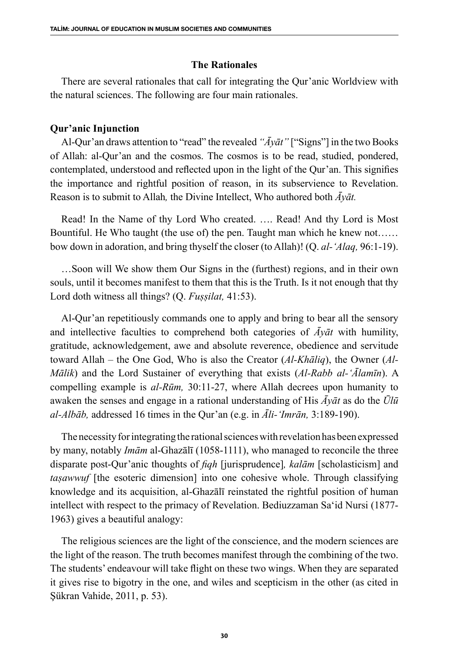## **The Rationales**

There are several rationales that call for integrating the Qur'anic Worldview with the natural sciences. The following are four main rationales.

## **Qur'anic Injunction**

Al-Qur'an draws attention to "read" the revealed *"Āyāt"* ["Signs"] in the two Books of Allah: al-Qur'an and the cosmos. The cosmos is to be read, studied, pondered, contemplated, understood and reflected upon in the light of the Qur'an. This signifies the importance and rightful position of reason, in its subservience to Revelation. Reason is to submit to Allah*,* the Divine Intellect, Who authored both *Āyāt.*

Read! In the Name of thy Lord Who created. …. Read! And thy Lord is Most Bountiful. He Who taught (the use of) the pen. Taught man which he knew not…… bow down in adoration, and bring thyself the closer (to Allah)! (Q. *al-'Alaq,* 96:1-19).

…Soon will We show them Our Signs in the (furthest) regions, and in their own souls, until it becomes manifest to them that this is the Truth. Is it not enough that thy Lord doth witness all things? (Q. *Fuṣṣilat,* 41:53).

Al-Qur'an repetitiously commands one to apply and bring to bear all the sensory and intellective faculties to comprehend both categories of  $\bar{A}y\bar{a}t$  with humility, gratitude, acknowledgement, awe and absolute reverence, obedience and servitude toward Allah – the One God, Who is also the Creator (*Al-Khāliq*), the Owner (*Al-Mālik*) and the Lord Sustainer of everything that exists (*Al-Rabb al-'Ālamīn*). A compelling example is *al-Rūm,* 30:11-27, where Allah decrees upon humanity to awaken the senses and engage in a rational understanding of His *Āyāt* as do the *Ūlū al-Albāb,* addressed 16 times in the Qur'an (e.g. in *Āli-'Imrān,* 3:189-190).

The necessity for integrating the rational sciences with revelation has been expressed by many, notably *Imām* al-Ghazālī (1058-1111), who managed to reconcile the three disparate post-Qur'anic thoughts of *fiqh* [jurisprudence]*, kalām* [scholasticism] and *taşawwuf* [the esoteric dimension] into one cohesive whole. Through classifying knowledge and its acquisition, al-Ghazālī reinstated the rightful position of human intellect with respect to the primacy of Revelation. Bediuzzaman Sa'id Nursi (1877- 1963) gives a beautiful analogy:

The religious sciences are the light of the conscience, and the modern sciences are the light of the reason. The truth becomes manifest through the combining of the two. The students' endeavour will take flight on these two wings. When they are separated it gives rise to bigotry in the one, and wiles and scepticism in the other (as cited in Şükran Vahide, 2011, p. 53).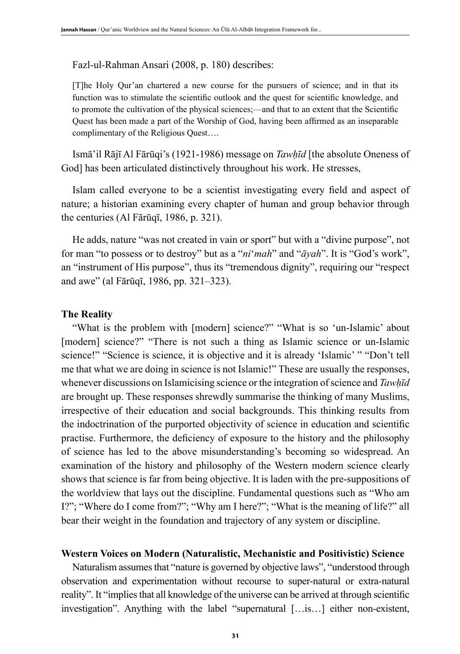#### Fazl-ul-Rahman Ansari (2008, p. 180) describes:

[T]he Holy Qur'an chartered a new course for the pursuers of science; and in that its function was to stimulate the scientific outlook and the quest for scientific knowledge, and to promote the cultivation of the physical sciences;—and that to an extent that the Scientific Quest has been made a part of the Worship of God, having been affirmed as an inseparable complimentary of the Religious Quest….

Ismā'il Rājī Al Fārūqi's (1921-1986) message on *Tawḥīd* [the absolute Oneness of God] has been articulated distinctively throughout his work. He stresses,

Islam called everyone to be a scientist investigating every field and aspect of nature; a historian examining every chapter of human and group behavior through the centuries (Al Fārūqī, 1986, p. 321).

He adds, nature "was not created in vain or sport" but with a "divine purpose", not for man "to possess or to destroy" but as a "*ni*'*mah*" and "*āyah*". It is "God's work", an "instrument of His purpose", thus its "tremendous dignity", requiring our "respect and awe" (al Fārūqī, 1986, pp. 321–323).

#### **The Reality**

"What is the problem with [modern] science?" "What is so 'un-Islamic' about [modern] science?" "There is not such a thing as Islamic science or un-Islamic science!" "Science is science, it is objective and it is already 'Islamic' " "Don't tell me that what we are doing in science is not Islamic!" These are usually the responses, whenever discussions on Islamicising science or the integration of science and *Tawhīd* are brought up. These responses shrewdly summarise the thinking of many Muslims, irrespective of their education and social backgrounds. This thinking results from the indoctrination of the purported objectivity of science in education and scientific practise. Furthermore, the deficiency of exposure to the history and the philosophy of science has led to the above misunderstanding's becoming so widespread. An examination of the history and philosophy of the Western modern science clearly shows that science is far from being objective. It is laden with the pre-suppositions of the worldview that lays out the discipline. Fundamental questions such as "Who am I?"; "Where do I come from?"; "Why am I here?"; "What is the meaning of life?" all bear their weight in the foundation and trajectory of any system or discipline.

## **Western Voices on Modern (Naturalistic, Mechanistic and Positivistic) Science**

Naturalism assumes that "nature is governed by objective laws", "understood through observation and experimentation without recourse to super-natural or extra-natural reality". It "implies that all knowledge of the universe can be arrived at through scientific investigation". Anything with the label "supernatural […is…] either non-existent,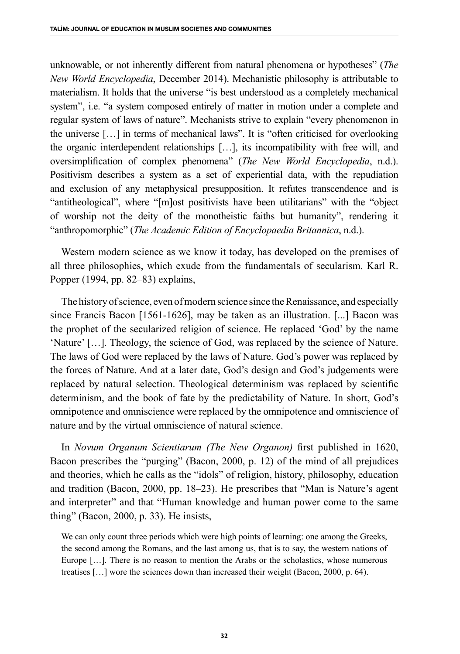unknowable, or not inherently different from natural phenomena or hypotheses" (*The New World Encyclopedia*, December 2014). Mechanistic philosophy is attributable to materialism. It holds that the universe "is best understood as a completely mechanical system", i.e. "a system composed entirely of matter in motion under a complete and regular system of laws of nature". Mechanists strive to explain "every phenomenon in the universe […] in terms of mechanical laws". It is "often criticised for overlooking the organic interdependent relationships […], its incompatibility with free will, and oversimplification of complex phenomena" (*The New World Encyclopedia*, n.d.). Positivism describes a system as a set of experiential data, with the repudiation and exclusion of any metaphysical presupposition. It refutes transcendence and is "antitheological", where "[m]ost positivists have been utilitarians" with the "object of worship not the deity of the monotheistic faiths but humanity", rendering it "anthropomorphic" (*The Academic Edition of Encyclopaedia Britannica*, n.d.).

Western modern science as we know it today, has developed on the premises of all three philosophies, which exude from the fundamentals of secularism. Karl R. Popper (1994, pp. 82–83) explains,

The history of science, even of modern science since the Renaissance, and especially since Francis Bacon [1561-1626], may be taken as an illustration. [...] Bacon was the prophet of the secularized religion of science. He replaced 'God' by the name 'Nature' […]. Theology, the science of God, was replaced by the science of Nature. The laws of God were replaced by the laws of Nature. God's power was replaced by the forces of Nature. And at a later date, God's design and God's judgements were replaced by natural selection. Theological determinism was replaced by scientific determinism, and the book of fate by the predictability of Nature. In short, God's omnipotence and omniscience were replaced by the omnipotence and omniscience of nature and by the virtual omniscience of natural science.

In *Novum Organum Scientiarum (The New Organon)* first published in 1620, Bacon prescribes the "purging" (Bacon, 2000, p. 12) of the mind of all prejudices and theories, which he calls as the "idols" of religion, history, philosophy, education and tradition (Bacon, 2000, pp. 18–23). He prescribes that "Man is Nature's agent and interpreter" and that "Human knowledge and human power come to the same thing" (Bacon, 2000, p. 33). He insists,

We can only count three periods which were high points of learning: one among the Greeks, the second among the Romans, and the last among us, that is to say, the western nations of Europe […]. There is no reason to mention the Arabs or the scholastics, whose numerous treatises […] wore the sciences down than increased their weight (Bacon, 2000, p. 64).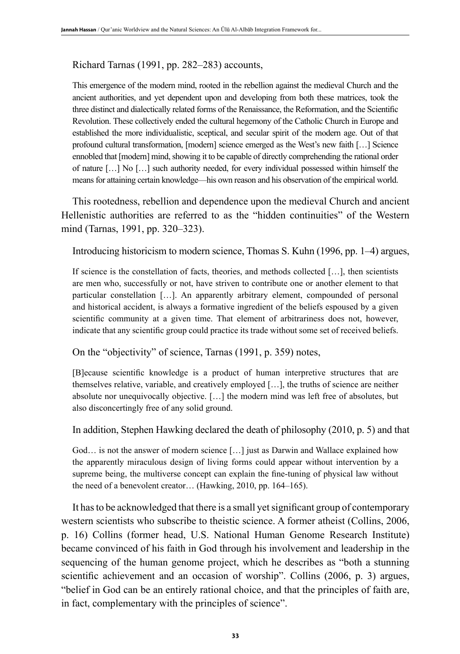## Richard Tarnas (1991, pp. 282–283) accounts,

This emergence of the modern mind, rooted in the rebellion against the medieval Church and the ancient authorities, and yet dependent upon and developing from both these matrices, took the three distinct and dialectically related forms of the Renaissance, the Reformation, and the Scientific Revolution. These collectively ended the cultural hegemony of the Catholic Church in Europe and established the more individualistic, sceptical, and secular spirit of the modern age. Out of that profound cultural transformation, [modern] science emerged as the West's new faith […] Science ennobled that [modern] mind, showing it to be capable of directly comprehending the rational order of nature […] No […] such authority needed, for every individual possessed within himself the means for attaining certain knowledge—his own reason and his observation of the empirical world.

This rootedness, rebellion and dependence upon the medieval Church and ancient Hellenistic authorities are referred to as the "hidden continuities" of the Western mind (Tarnas, 1991, pp. 320–323).

Introducing historicism to modern science, Thomas S. Kuhn (1996, pp. 1–4) argues,

If science is the constellation of facts, theories, and methods collected […], then scientists are men who, successfully or not, have striven to contribute one or another element to that particular constellation […]. An apparently arbitrary element, compounded of personal and historical accident, is always a formative ingredient of the beliefs espoused by a given scientific community at a given time. That element of arbitrariness does not, however, indicate that any scientific group could practice its trade without some set of received beliefs.

On the "objectivity" of science, Tarnas (1991, p. 359) notes,

[B]ecause scientific knowledge is a product of human interpretive structures that are themselves relative, variable, and creatively employed […], the truths of science are neither absolute nor unequivocally objective. […] the modern mind was left free of absolutes, but also disconcertingly free of any solid ground.

In addition, Stephen Hawking declared the death of philosophy (2010, p. 5) and that

God… is not the answer of modern science […] just as Darwin and Wallace explained how the apparently miraculous design of living forms could appear without intervention by a supreme being, the multiverse concept can explain the fine-tuning of physical law without the need of a benevolent creator… (Hawking, 2010, pp. 164–165).

It has to be acknowledged that there is a small yet significant group of contemporary western scientists who subscribe to theistic science. A former atheist (Collins, 2006, p. 16) Collins (former head, U.S. National Human Genome Research Institute) became convinced of his faith in God through his involvement and leadership in the sequencing of the human genome project, which he describes as "both a stunning scientific achievement and an occasion of worship". Collins (2006, p. 3) argues, "belief in God can be an entirely rational choice, and that the principles of faith are, in fact, complementary with the principles of science".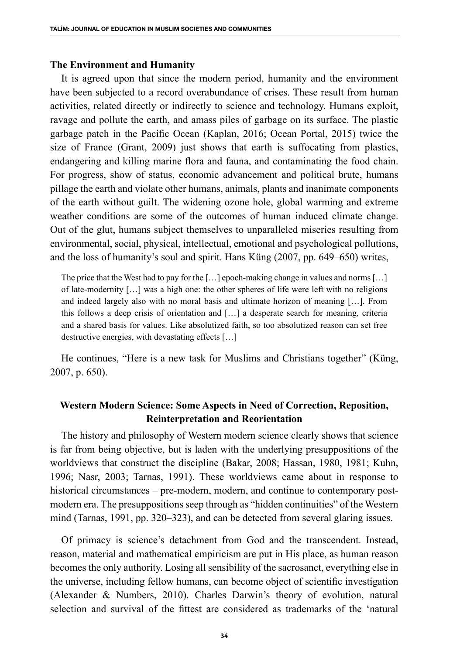#### **The Environment and Humanity**

It is agreed upon that since the modern period, humanity and the environment have been subjected to a record overabundance of crises. These result from human activities, related directly or indirectly to science and technology. Humans exploit, ravage and pollute the earth, and amass piles of garbage on its surface. The plastic garbage patch in the Pacific Ocean (Kaplan, 2016; Ocean Portal, 2015) twice the size of France (Grant, 2009) just shows that earth is suffocating from plastics, endangering and killing marine flora and fauna, and contaminating the food chain. For progress, show of status, economic advancement and political brute, humans pillage the earth and violate other humans, animals, plants and inanimate components of the earth without guilt. The widening ozone hole, global warming and extreme weather conditions are some of the outcomes of human induced climate change. Out of the glut, humans subject themselves to unparalleled miseries resulting from environmental, social, physical, intellectual, emotional and psychological pollutions, and the loss of humanity's soul and spirit. Hans Küng (2007, pp. 649–650) writes,

The price that the West had to pay for the […] epoch-making change in values and norms […] of late-modernity […] was a high one: the other spheres of life were left with no religions and indeed largely also with no moral basis and ultimate horizon of meaning […]. From this follows a deep crisis of orientation and […] a desperate search for meaning, criteria and a shared basis for values. Like absolutized faith, so too absolutized reason can set free destructive energies, with devastating effects […]

He continues, "Here is a new task for Muslims and Christians together" (Küng, 2007, p. 650).

## **Western Modern Science: Some Aspects in Need of Correction, Reposition, Reinterpretation and Reorientation**

The history and philosophy of Western modern science clearly shows that science is far from being objective, but is laden with the underlying presuppositions of the worldviews that construct the discipline (Bakar, 2008; Hassan, 1980, 1981; Kuhn, 1996; Nasr, 2003; Tarnas, 1991). These worldviews came about in response to historical circumstances – pre-modern, modern, and continue to contemporary postmodern era. The presuppositions seep through as "hidden continuities" of the Western mind (Tarnas, 1991, pp. 320–323), and can be detected from several glaring issues.

Of primacy is science's detachment from God and the transcendent. Instead, reason, material and mathematical empiricism are put in His place, as human reason becomes the only authority. Losing all sensibility of the sacrosanct, everything else in the universe, including fellow humans, can become object of scientific investigation (Alexander & Numbers, 2010). Charles Darwin's theory of evolution, natural selection and survival of the fittest are considered as trademarks of the 'natural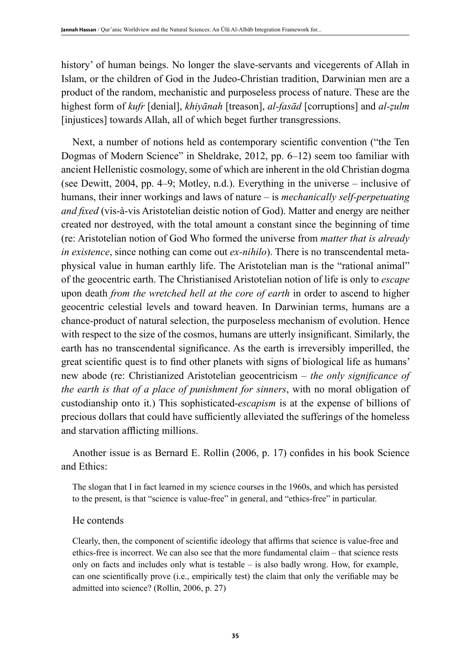history' of human beings. No longer the slave-servants and vicegerents of Allah in Islam, or the children of God in the Judeo-Christian tradition, Darwinian men are a product of the random, mechanistic and purposeless process of nature. These are the highest form of *kufr* [denial], *khiyānah* [treason], *al-fasād* [corruptions] and *al-ẓulm* [injustices] towards Allah, all of which beget further transgressions.

Next, a number of notions held as contemporary scientific convention ("the Ten Dogmas of Modern Science" in Sheldrake, 2012, pp. 6–12) seem too familiar with ancient Hellenistic cosmology, some of which are inherent in the old Christian dogma (see Dewitt, 2004, pp. 4–9; Motley, n.d.). Everything in the universe – inclusive of humans, their inner workings and laws of nature – is *mechanically self-perpetuating and fixed* (vis-à-vis Aristotelian deistic notion of God). Matter and energy are neither created nor destroyed, with the total amount a constant since the beginning of time (re: Aristotelian notion of God Who formed the universe from *matter that is already in existence*, since nothing can come out *ex-nihilo*). There is no transcendental metaphysical value in human earthly life. The Aristotelian man is the "rational animal" of the geocentric earth. The Christianised Aristotelian notion of life is only to *escape* upon death *from the wretched hell at the core of earth* in order to ascend to higher geocentric celestial levels and toward heaven. In Darwinian terms, humans are a chance-product of natural selection, the purposeless mechanism of evolution. Hence with respect to the size of the cosmos, humans are utterly insignificant. Similarly, the earth has no transcendental significance. As the earth is irreversibly imperilled, the great scientific quest is to find other planets with signs of biological life as humans' new abode (re: Christianized Aristotelian geocentricism – *the only significance of the earth is that of a place of punishment for sinners*, with no moral obligation of custodianship onto it.) This sophisticated-*escapism* is at the expense of billions of precious dollars that could have sufficiently alleviated the sufferings of the homeless and starvation afflicting millions.

Another issue is as Bernard E. Rollin (2006, p. 17) confides in his book Science and Ethics:

The slogan that I in fact learned in my science courses in the 1960s, and which has persisted to the present, is that "science is value-free" in general, and "ethics-free" in particular.

## He contends

Clearly, then, the component of scientific ideology that affirms that science is value-free and ethics-free is incorrect. We can also see that the more fundamental claim – that science rests only on facts and includes only what is testable – is also badly wrong. How, for example, can one scientifically prove (i.e., empirically test) the claim that only the verifiable may be admitted into science? (Rollin, 2006, p. 27)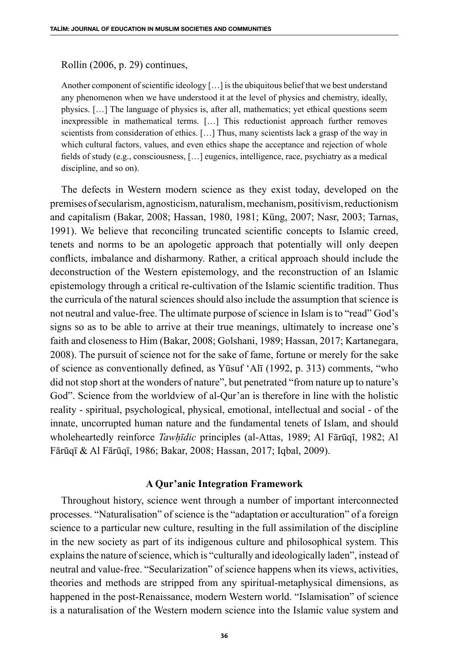## Rollin (2006, p. 29) continues,

Another component of scientific ideology […] is the ubiquitous belief that we best understand any phenomenon when we have understood it at the level of physics and chemistry, ideally, physics. […] The language of physics is, after all, mathematics; yet ethical questions seem inexpressible in mathematical terms. […] This reductionist approach further removes scientists from consideration of ethics. […] Thus, many scientists lack a grasp of the way in which cultural factors, values, and even ethics shape the acceptance and rejection of whole fields of study (e.g., consciousness, […] eugenics, intelligence, race, psychiatry as a medical discipline, and so on).

The defects in Western modern science as they exist today, developed on the premises of secularism, agnosticism, naturalism, mechanism, positivism, reductionism and capitalism (Bakar, 2008; Hassan, 1980, 1981; Küng, 2007; Nasr, 2003; Tarnas, 1991). We believe that reconciling truncated scientific concepts to Islamic creed, tenets and norms to be an apologetic approach that potentially will only deepen conflicts, imbalance and disharmony. Rather, a critical approach should include the deconstruction of the Western epistemology, and the reconstruction of an Islamic epistemology through a critical re-cultivation of the Islamic scientific tradition. Thus the curricula of the natural sciences should also include the assumption that science is not neutral and value-free. The ultimate purpose of science in Islam is to "read" God's signs so as to be able to arrive at their true meanings, ultimately to increase one's faith and closeness to Him (Bakar, 2008; Golshani, 1989; Hassan, 2017; Kartanegara, 2008). The pursuit of science not for the sake of fame, fortune or merely for the sake of science as conventionally defined, as Yūsuf 'Alī (1992, p. 313) comments, "who did not stop short at the wonders of nature", but penetrated "from nature up to nature's God". Science from the worldview of al-Qur'an is therefore in line with the holistic reality - spiritual, psychological, physical, emotional, intellectual and social - of the innate, uncorrupted human nature and the fundamental tenets of Islam, and should wholeheartedly reinforce *Tawḥīdic* principles (al-Attas, 1989; Al Fārūqī, 1982; Al Fārūqī & Al Fārūqī, 1986; Bakar, 2008; Hassan, 2017; Iqbal, 2009).

## **A Qur'anic Integration Framework**

Throughout history, science went through a number of important interconnected processes. "Naturalisation" of science is the "adaptation or acculturation" of a foreign science to a particular new culture, resulting in the full assimilation of the discipline in the new society as part of its indigenous culture and philosophical system. This explains the nature of science, which is "culturally and ideologically laden", instead of neutral and value-free. "Secularization" of science happens when its views, activities, theories and methods are stripped from any spiritual-metaphysical dimensions, as happened in the post-Renaissance, modern Western world. "Islamisation" of science is a naturalisation of the Western modern science into the Islamic value system and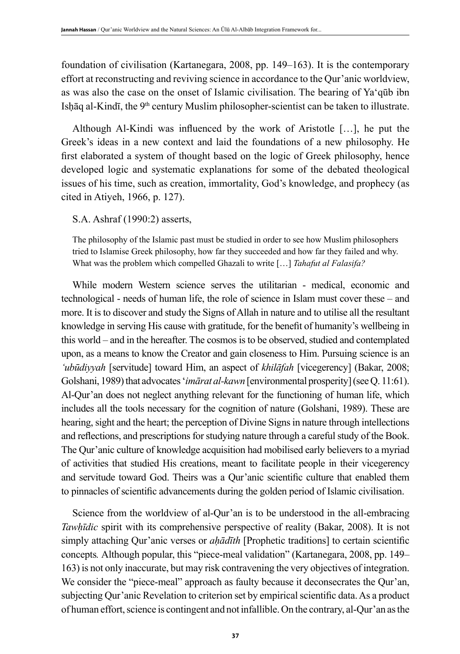foundation of civilisation (Kartanegara, 2008, pp. 149–163). It is the contemporary effort at reconstructing and reviving science in accordance to the Qur'anic worldview, as was also the case on the onset of Islamic civilisation. The bearing of Ya'qūb ibn Isḥāq al-Kindī, the 9<sup>th</sup> century Muslim philosopher-scientist can be taken to illustrate.

Although Al-Kindi was influenced by the work of Aristotle […], he put the Greek's ideas in a new context and laid the foundations of a new philosophy. He first elaborated a system of thought based on the logic of Greek philosophy, hence developed logic and systematic explanations for some of the debated theological issues of his time, such as creation, immortality, God's knowledge, and prophecy (as cited in Atiyeh, 1966, p. 127).

S.A. Ashraf (1990:2) asserts,

The philosophy of the Islamic past must be studied in order to see how Muslim philosophers tried to Islamise Greek philosophy, how far they succeeded and how far they failed and why. What was the problem which compelled Ghazali to write […] *Tahafut al Falasifa?*

While modern Western science serves the utilitarian - medical, economic and technological - needs of human life, the role of science in Islam must cover these – and more. It is to discover and study the Signs of Allah in nature and to utilise all the resultant knowledge in serving His cause with gratitude, for the benefit of humanity's wellbeing in this world – and in the hereafter. The cosmos is to be observed, studied and contemplated upon, as a means to know the Creator and gain closeness to Him. Pursuing science is an *'ubūdiyyah* [servitude] toward Him, an aspect of *khilāfah* [vicegerency] (Bakar, 2008; Golshani, 1989) that advocates '*imārat al-kawn* [environmental prosperity](see Q. 11:61). Al-Qur'an does not neglect anything relevant for the functioning of human life, which includes all the tools necessary for the cognition of nature (Golshani, 1989). These are hearing, sight and the heart; the perception of Divine Signs in nature through intellections and reflections, and prescriptions for studying nature through a careful study of the Book. The Qur'anic culture of knowledge acquisition had mobilised early believers to a myriad of activities that studied His creations, meant to facilitate people in their vicegerency and servitude toward God. Theirs was a Qur'anic scientific culture that enabled them to pinnacles of scientific advancements during the golden period of Islamic civilisation.

Science from the worldview of al-Qur'an is to be understood in the all-embracing *Tawhīdic* spirit with its comprehensive perspective of reality (Bakar, 2008). It is not simply attaching Qur'anic verses or *aḥādīth* [Prophetic traditions] to certain scientific concepts*.* Although popular, this "piece-meal validation" (Kartanegara, 2008, pp. 149– 163) is not only inaccurate, but may risk contravening the very objectives of integration. We consider the "piece-meal" approach as faulty because it deconsecrates the Qur'an, subjecting Qur'anic Revelation to criterion set by empirical scientific data. As a product of human effort, science is contingent and not infallible. On the contrary, al-Qur'an as the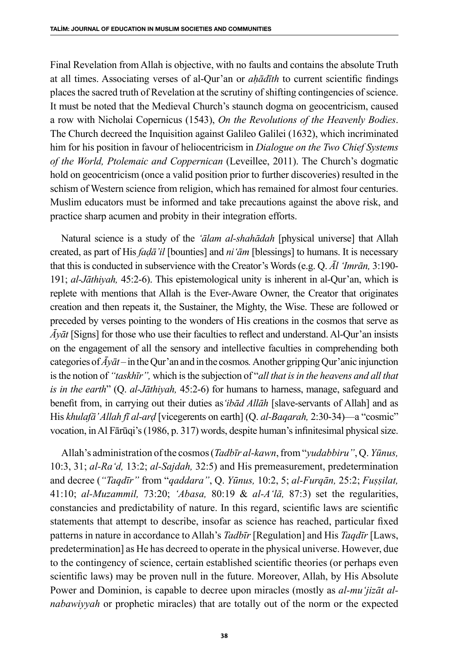Final Revelation from Allah is objective, with no faults and contains the absolute Truth at all times. Associating verses of al-Qur'an or *aḥādīth* to current scientific findings places the sacred truth of Revelation at the scrutiny of shifting contingencies of science. It must be noted that the Medieval Church's staunch dogma on geocentricism, caused a row with Nicholai Copernicus (1543), *On the Revolutions of the Heavenly Bodies*. The Church decreed the Inquisition against Galileo Galilei (1632), which incriminated him for his position in favour of heliocentricism in *Dialogue on the Two Chief Systems of the World, Ptolemaic and Coppernican* (Leveillee, 2011). The Church's dogmatic hold on geocentricism (once a valid position prior to further discoveries) resulted in the schism of Western science from religion, which has remained for almost four centuries. Muslim educators must be informed and take precautions against the above risk, and practice sharp acumen and probity in their integration efforts.

Natural science is a study of the *'ālam al-shahādah* [physical universe] that Allah created, as part of His *faḍā'il* [bounties] and *ni'ām* [blessings] to humans. It is necessary that this is conducted in subservience with the Creator's Words (e.g. Q. *Ᾱl 'Imrān,* 3:190- 191; *al-Jāthiyah,* 45:2-6). This epistemological unity is inherent in al-Qur'an, which is replete with mentions that Allah is the Ever-Aware Owner, the Creator that originates creation and then repeats it, the Sustainer, the Mighty, the Wise. These are followed or preceded by verses pointing to the wonders of His creations in the cosmos that serve as *Āyāt* [Signs] for those who use their faculties to reflect and understand. Al-Qur'an insists on the engagement of all the sensory and intellective faculties in comprehending both categories of  $\bar{A}y\bar{a}t$  – in the Qur'an and in the cosmos. Another gripping Qur'anic injunction is the notion of *"taskhīr",* which is the subjection of "*all that is in the heavens and all that is in the earth*" (Q. *al-Jāthiyah,* 45:2-6) for humans to harness, manage, safeguard and benefit from, in carrying out their duties as*'ibād Allāh* [slave-servants of Allah] and as His *khulafā' Allah fī al-arḍ* [vicegerents on earth] (Q. *al-Baqarah,* 2:30-34)—a "cosmic" vocation, in Al Fārūqi's (1986, p. 317) words, despite human's infinitesimal physical size.

Allah's administration of the cosmos (*Tadbīr al-kawn*, from "*yudabbiru"*, Q. *Yūnus,*  10:3, 31; *al-Ra'd,* 13:2; *al-Sajdah,* 32:5) and His premeasurement, predetermination and decree (*"Taqdīr"* from "*qaddara"*, Q. *Yūnus,* 10:2, 5; *al-Furqān,* 25:2; *Fuṣṣilat,*  41:10; *al-Muzammil,* 73:20; *'Abasa,* 80:19 & *al-A'lā,* 87:3) set the regularities, constancies and predictability of nature. In this regard, scientific laws are scientific statements that attempt to describe, insofar as science has reached, particular fixed patterns in nature in accordance to Allah's *Tadbīr* [Regulation] and His *Taqdīr* [Laws, predetermination] as He has decreed to operate in the physical universe. However, due to the contingency of science, certain established scientific theories (or perhaps even scientific laws) may be proven null in the future. Moreover, Allah, by His Absolute Power and Dominion, is capable to decree upon miracles (mostly as *al-mu'jizāt alnabawiyyah* or prophetic miracles) that are totally out of the norm or the expected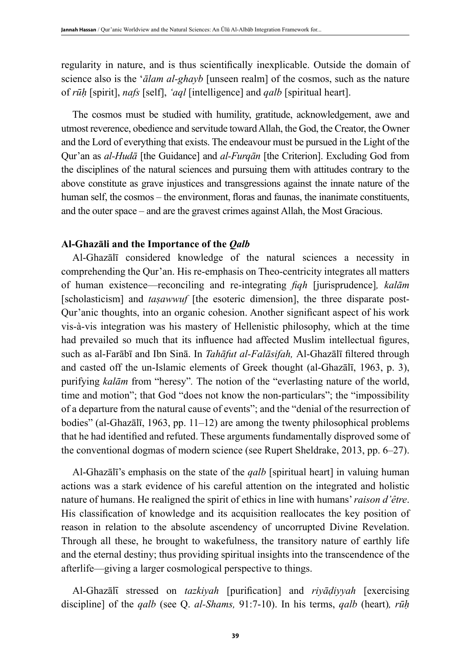regularity in nature, and is thus scientifically inexplicable. Outside the domain of science also is the '*ālam al-ghayb* [unseen realm] of the cosmos, such as the nature of *rūḥ* [spirit], *nafs* [self], *'aql* [intelligence] and *qalb* [spiritual heart].

The cosmos must be studied with humility, gratitude, acknowledgement, awe and utmost reverence, obedience and servitude toward Allah, the God, the Creator, the Owner and the Lord of everything that exists. The endeavour must be pursued in the Light of the Qur'an as *al-Hudā* [the Guidance] and *al-Furqān* [the Criterion]. Excluding God from the disciplines of the natural sciences and pursuing them with attitudes contrary to the above constitute as grave injustices and transgressions against the innate nature of the human self, the cosmos – the environment, floras and faunas, the inanimate constituents, and the outer space – and are the gravest crimes against Allah, the Most Gracious.

#### **Al-Ghazāli and the Importance of the** *Qalb*

Al-Ghazālī considered knowledge of the natural sciences a necessity in comprehending the Qur'an. His re-emphasis on Theo-centricity integrates all matters of human existence—reconciling and re-integrating *fiqh* [jurisprudence]*, kalām*  [scholasticism] and *taṣawwuf* [the esoteric dimension], the three disparate post-Qur'anic thoughts, into an organic cohesion. Another significant aspect of his work vis-à-vis integration was his mastery of Hellenistic philosophy, which at the time had prevailed so much that its influence had affected Muslim intellectual figures, such as al-Farābī and Ibn Sinā. In *Tahāfut al-Falāsifah,* Al-Ghazālī filtered through and casted off the un-Islamic elements of Greek thought (al-Ghazālī, 1963, p. 3), purifying *kalām* from "heresy"*.* The notion of the "everlasting nature of the world, time and motion"; that God "does not know the non-particulars"; the "impossibility of a departure from the natural cause of events"; and the "denial of the resurrection of bodies" (al-Ghazālī, 1963, pp. 11–12) are among the twenty philosophical problems that he had identified and refuted. These arguments fundamentally disproved some of the conventional dogmas of modern science (see Rupert Sheldrake, 2013, pp. 6–27).

Al-Ghazālī's emphasis on the state of the *qalb* [spiritual heart] in valuing human actions was a stark evidence of his careful attention on the integrated and holistic nature of humans. He realigned the spirit of ethics in line with humans' *raison d'être*. His classification of knowledge and its acquisition reallocates the key position of reason in relation to the absolute ascendency of uncorrupted Divine Revelation. Through all these, he brought to wakefulness, the transitory nature of earthly life and the eternal destiny; thus providing spiritual insights into the transcendence of the afterlife—giving a larger cosmological perspective to things.

Al-Ghazālῑ stressed on *tazkiyah* [purification] and *riyāḍiyyah* [exercising discipline] of the *qalb* (see Q. *al-Shams,* 91:7-10). In his terms, *qalb* (heart)*, rūḥ*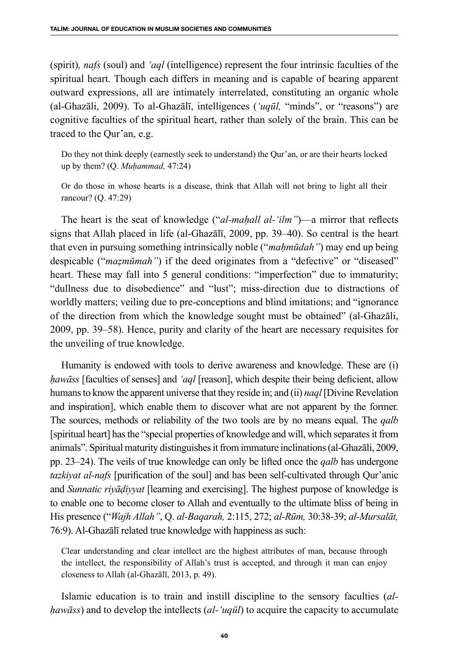(spirit)*, nafs* (soul) and *'aql* (intelligence) represent the four intrinsic faculties of the spiritual heart. Though each differs in meaning and is capable of bearing apparent outward expressions, all are intimately interrelated, constituting an organic whole (al-Ghazāli, 2009). To al-Ghazālī, intelligences (*'uqūl,* "minds", or "reasons") are cognitive faculties of the spiritual heart, rather than solely of the brain. This can be traced to the Qur'an, e.g.

Do they not think deeply (earnestly seek to understand) the Qur'an, or are their hearts locked up by them? (Q. *Muḥammad,* 47:24)

Or do those in whose hearts is a disease, think that Allah will not bring to light all their rancour? (Q. 47:29)

The heart is the seat of knowledge ("*al-maḥall al-'ilm"*)—a mirror that reflects signs that Allah placed in life (al-Ghazālī, 2009, pp. 39–40). So central is the heart that even in pursuing something intrinsically noble ("*maḥmūdah"*) may end up being despicable ("*mazmūmah"*) if the deed originates from a "defective" or "diseased" heart. These may fall into 5 general conditions: "imperfection" due to immaturity; "dullness due to disobedience" and "lust"; miss-direction due to distractions of worldly matters; veiling due to pre-conceptions and blind imitations; and "ignorance of the direction from which the knowledge sought must be obtained" (al-Ghazāli, 2009, pp. 39–58). Hence, purity and clarity of the heart are necessary requisites for the unveiling of true knowledge.

Humanity is endowed with tools to derive awareness and knowledge. These are (i) *ḥawāss* [faculties of senses] and *'aql* [reason], which despite their being deficient, allow humans to know the apparent universe that they reside in; and (ii) *naql* [Divine Revelation and inspiration], which enable them to discover what are not apparent by the former. The sources, methods or reliability of the two tools are by no means equal. The *qalb* [spiritual heart] has the "special properties of knowledge and will, which separates it from animals". Spiritual maturity distinguishes it from immature inclinations (al-Ghazāli, 2009, pp. 23–24). The veils of true knowledge can only be lifted once the *qalb* has undergone *tazkiyat al-nafs* [purification of the soul] and has been self-cultivated through Qur'anic and *Sunnatic riyāḍiyyat* [learning and exercising]. The highest purpose of knowledge is to enable one to become closer to Allah and eventually to the ultimate bliss of being in His presence ("*Wajh Allah"*, Q. *al-Baqarah,* 2:115, 272; *al-Rūm,* 30:38-39; *al-Mursalāt,*  76:9). Al-Ghazālī related true knowledge with happiness as such:

Clear understanding and clear intellect are the highest attributes of man, because through the intellect, the responsibility of Allah's trust is accepted, and through it man can enjoy closeness to Allah (al-Ghazālī, 2013, p. 49).

Islamic education is to train and instill discipline to the sensory faculties (*alḥawāss*) and to develop the intellects (*al-'uqūl*) to acquire the capacity to accumulate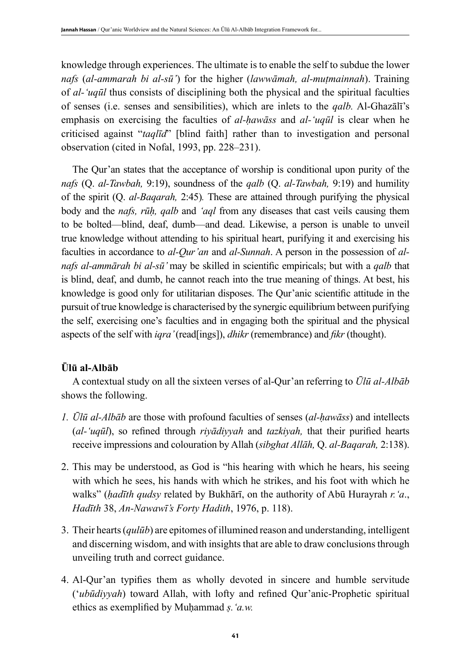knowledge through experiences. The ultimate is to enable the self to subdue the lower *nafs* (*al-ammarah bi al-sū'*) for the higher (*lawwāmah, al-muṭmainnah*). Training of *al-'uqūl* thus consists of disciplining both the physical and the spiritual faculties of senses (i.e. senses and sensibilities), which are inlets to the *qalb.* Al-Ghazālī's emphasis on exercising the faculties of *al-ḥawāss* and *al-'uqūl* is clear when he criticised against "*taqlīd*" [blind faith] rather than to investigation and personal observation (cited in Nofal, 1993, pp. 228–231).

The Qur'an states that the acceptance of worship is conditional upon purity of the *nafs* (Q. *al-Tawbah,* 9:19), soundness of the *qalb* (Q. *al-Tawbah,* 9:19) and humility of the spirit (Q. *al-Baqarah,* 2:45)*.* These are attained through purifying the physical body and the *nafs, rūḥ, qalb* and *'aql* from any diseases that cast veils causing them to be bolted—blind, deaf, dumb—and dead. Likewise, a person is unable to unveil true knowledge without attending to his spiritual heart, purifying it and exercising his faculties in accordance to *al-Qur'an* and *al-Sunnah*. A person in the possession of *alnafs al-ammārah bi al-sū'* may be skilled in scientific empiricals; but with a *qalb* that is blind, deaf, and dumb, he cannot reach into the true meaning of things. At best, his knowledge is good only for utilitarian disposes. The Qur'anic scientific attitude in the pursuit of true knowledge is characterised by the synergic equilibrium between purifying the self, exercising one's faculties and in engaging both the spiritual and the physical aspects of the self with *iqra'* (read[ings]), *dhikr* (remembrance) and *fikr* (thought).

## **Ūlū al-Albāb**

A contextual study on all the sixteen verses of al-Qur'an referring to *Ūlū al-Albāb* shows the following.

- *1. Ūlū al-Albāb* are those with profound faculties of senses (*al-ḥawāss*) and intellects (*al-'uqūl*), so refined through *riyādiyyah* and *tazkiyah,* that their purified hearts receive impressions and colouration by Allah (*sibghat Allāh,* Q. *al-Baqarah,* 2:138).
- 2. This may be understood, as God is "his hearing with which he hears, his seeing with which he sees, his hands with which he strikes, and his foot with which he walks" (*ḥadīth qudsy* related by Bukhārī, on the authority of Abū Hurayrah *r.'a*., *Hadīth* 38, *An-Nawawī's Forty Hadith*, 1976, p. 118).
- 3. Their hearts (*qulūb*) are epitomes of illumined reason and understanding, intelligent and discerning wisdom, and with insights that are able to draw conclusions through unveiling truth and correct guidance.
- 4. Al-Qur'an typifies them as wholly devoted in sincere and humble servitude ('*ubūdiyyah*) toward Allah, with lofty and refined Qur'anic-Prophetic spiritual ethics as exemplified by Muḥammad *ṣ.'a.w.*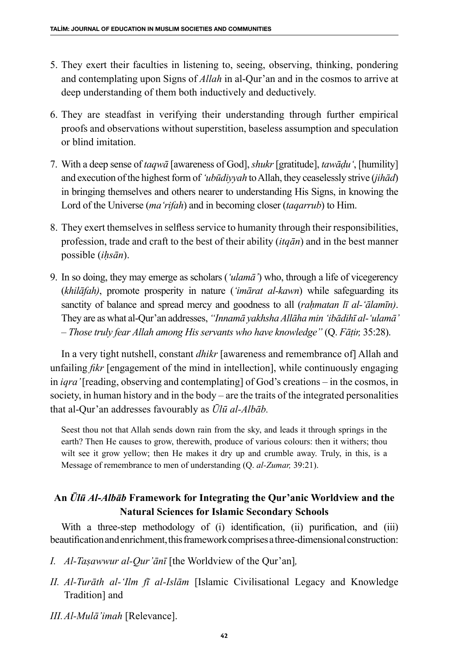- 5. They exert their faculties in listening to, seeing, observing, thinking, pondering and contemplating upon Signs of *Allah* in al-Qur'an and in the cosmos to arrive at deep understanding of them both inductively and deductively.
- 6. They are steadfast in verifying their understanding through further empirical proofs and observations without superstition, baseless assumption and speculation or blind imitation.
- 7. With a deep sense of *taqwā* [awareness of God], *shukr* [gratitude], *tawāḍu'*, [humility] and execution of the highest form of *'ubūdiyyah* to Allah, they ceaselessly strive (*jihād*) in bringing themselves and others nearer to understanding His Signs, in knowing the Lord of the Universe (*ma'rifah*) and in becoming closer (*taqarrub*) to Him.
- 8. They exert themselves in selfless service to humanity through their responsibilities, profession, trade and craft to the best of their ability (*itqān*) and in the best manner possible (*iḥsān*).
- 9. In so doing, they may emerge as scholars (*'ulamā'*) who, through a life of vicegerency (*khilāfah)*, promote prosperity in nature (*'imārat al-kawn*) while safeguarding its sanctity of balance and spread mercy and goodness to all *(rahmatan lī al-'ālamīn)*. They are as what al-Qur'an addresses, *"Innamā yakhsha Allāha min 'ibādihī al-'ulamā' – Those truly fear Allah among His servants who have knowledge"* (Q. *Fāṭir,* 35:28).

In a very tight nutshell, constant *dhikr* [awareness and remembrance of] Allah and unfailing *fikr* [engagement of the mind in intellection], while continuously engaging in *iqra'* [reading, observing and contemplating] of God's creations *–* in the cosmos, in society, in human history and in the body – are the traits of the integrated personalities that al-Qur'an addresses favourably as *Ūlū al-Albāb.*

Seest thou not that Allah sends down rain from the sky, and leads it through springs in the earth? Then He causes to grow, therewith, produce of various colours: then it withers; thou wilt see it grow yellow; then He makes it dry up and crumble away. Truly, in this, is a Message of remembrance to men of understanding (Q. *al-Zumar,* 39:21).

## **An** *Ūlū Al-Albāb* **Framework for Integrating the Qur'anic Worldview and the Natural Sciences for Islamic Secondary Schools**

With a three-step methodology of (i) identification, (ii) purification, and (iii) beautification and enrichment, this framework comprises a three-dimensional construction:

- *I. Al-Taṣawwur al-Qur'ānῑ* [the Worldview of the Qur'an]*,*
- *II. Al-Turāth al-'Ilm fī al-Islām* [Islamic Civilisational Legacy and Knowledge Tradition] and
- *III.Al-Mulā'imah* [Relevance].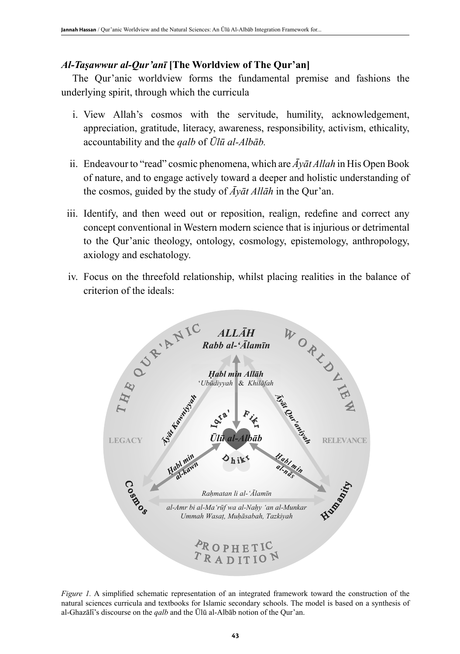## *Al-Taṣawwur al-Qur'anī* **[The Worldview of The Qur'an]**

The Qur'anic worldview forms the fundamental premise and fashions the underlying spirit, through which the curricula

- i. View Allah's cosmos with the servitude, humility, acknowledgement, appreciation, gratitude, literacy, awareness, responsibility, activism, ethicality, accountability and the *qalb* of *Ūlū al-Albāb.*
- ii. Endeavour to "read" cosmic phenomena, which are *Āyāt Allah* in His Open Book of nature, and to engage actively toward a deeper and holistic understanding of the cosmos, guided by the study of *Āyāt Allāh* in the Qur'an.
- iii. Identify, and then weed out or reposition, realign, redefine and correct any concept conventional in Western modern science that is injurious or detrimental to the Qur'anic theology, ontology, cosmology, epistemology, anthropology, axiology and eschatology.
- iv. Focus on the threefold relationship, whilst placing realities in the balance of criterion of the ideals:



*Figure 1.* A simplified schematic representation of an integrated framework toward the construction of the natural sciences curricula and textbooks for Islamic secondary schools. The model is based on a synthesis of al-Ghazālī's discourse on the *qalb* and the Ūlū al-Albāb notion of the Qur'an.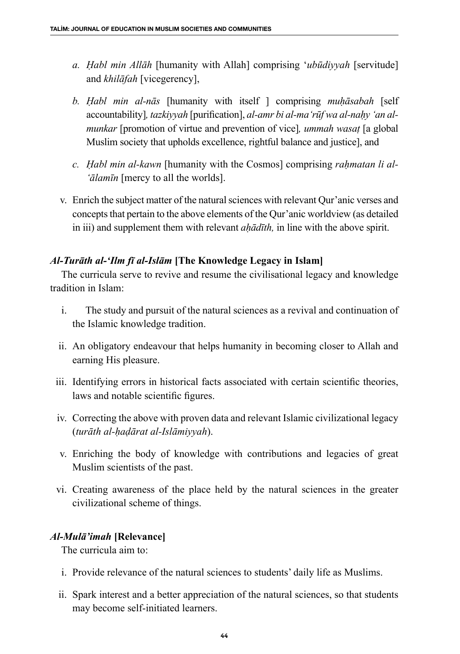- *a. Ḥabl min Allāh* [humanity with Allah] comprising '*ubūdiyyah* [servitude] and *khilāfah* [vicegerency],
- *b. Ḥabl min al-nās* [humanity with itself ] comprising *muḥāsabah* [self accountability], tazkiyyah [purification], al-amr bi al-ma 'rūf wa al-nahy 'an al*munkar* [promotion of virtue and prevention of vice]*, ummah wasaṭ* [a global Muslim society that upholds excellence, rightful balance and justice], and
- *c. Ḥabl min al-kawn* [humanity with the Cosmos] comprising *raḥmatan li al- 'ālamīn* [mercy to all the worlds].
- v. Enrich the subject matter of the natural sciences with relevant Qur'anic verses and concepts that pertain to the above elements of the Qur'anic worldview (as detailed in iii) and supplement them with relevant *ahādīth*, in line with the above spirit.

## *Al-Turāth al-'Ilm fī al-Islām* **[The Knowledge Legacy in Islam]**

The curricula serve to revive and resume the civilisational legacy and knowledge tradition in Islam:

- i. The study and pursuit of the natural sciences as a revival and continuation of the Islamic knowledge tradition.
- ii. An obligatory endeavour that helps humanity in becoming closer to Allah and earning His pleasure.
- iii. Identifying errors in historical facts associated with certain scientific theories, laws and notable scientific figures.
- iv. Correcting the above with proven data and relevant Islamic civilizational legacy (*turāth al-ḥaḍārat al-Islāmiyyah*).
- v. Enriching the body of knowledge with contributions and legacies of great Muslim scientists of the past.
- vi. Creating awareness of the place held by the natural sciences in the greater civilizational scheme of things.

## *Al-Mulā'imah* **[Relevance]**

The curricula aim to:

- i. Provide relevance of the natural sciences to students' daily life as Muslims.
- ii. Spark interest and a better appreciation of the natural sciences, so that students may become self-initiated learners.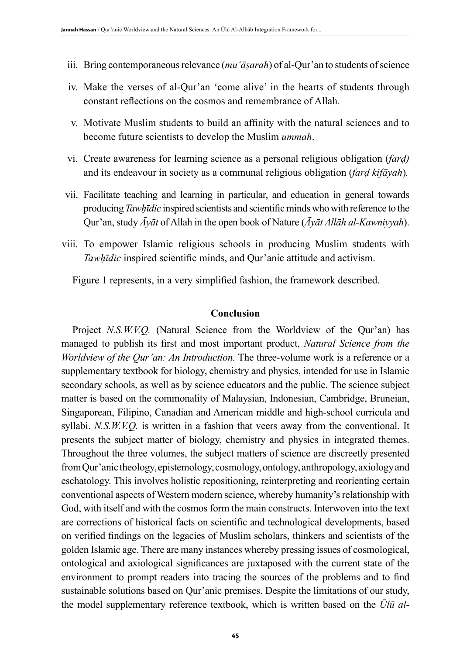- iii. Bring contemporaneous relevance (*mu'āṣarah*) of al-Qur'an to students of science
- iv. Make the verses of al-Qur'an 'come alive' in the hearts of students through constant reflections on the cosmos and remembrance of Allah*.*
- v. Motivate Muslim students to build an affinity with the natural sciences and to become future scientists to develop the Muslim *ummah*.
- vi. Create awareness for learning science as a personal religious obligation (*farḍ)*  and its endeavour in society as a communal religious obligation (*farḍ kifāyah*)*.*
- vii. Facilitate teaching and learning in particular, and education in general towards producing *Tawḥīdic* inspired scientists and scientific minds who with reference to the Qur'an, study *Āyāt* of Allah in the open book of Nature (*Āyāt Allāh al-Kawniyyah*).
- viii. To empower Islamic religious schools in producing Muslim students with *Tawḥīdic* inspired scientific minds, and Qur'anic attitude and activism.

Figure 1 represents, in a very simplified fashion, the framework described.

#### **Conclusion**

Project *N.S.W.V.Q.* (Natural Science from the Worldview of the Qur'an) has managed to publish its first and most important product, *Natural Science from the Worldview of the Qur'an: An Introduction.* The three-volume work is a reference or a supplementary textbook for biology, chemistry and physics, intended for use in Islamic secondary schools, as well as by science educators and the public. The science subject matter is based on the commonality of Malaysian, Indonesian, Cambridge, Bruneian, Singaporean, Filipino, Canadian and American middle and high-school curricula and syllabi. *N.S.W.V.Q.* is written in a fashion that veers away from the conventional. It presents the subject matter of biology, chemistry and physics in integrated themes. Throughout the three volumes, the subject matters of science are discreetly presented from Qur'anic theology, epistemology, cosmology, ontology, anthropology, axiology and eschatology. This involves holistic repositioning, reinterpreting and reorienting certain conventional aspects of Western modern science, whereby humanity's relationship with God, with itself and with the cosmos form the main constructs. Interwoven into the text are corrections of historical facts on scientific and technological developments, based on verified findings on the legacies of Muslim scholars, thinkers and scientists of the golden Islamic age. There are many instances whereby pressing issues of cosmological, ontological and axiological significances are juxtaposed with the current state of the environment to prompt readers into tracing the sources of the problems and to find sustainable solutions based on Qur'anic premises. Despite the limitations of our study, the model supplementary reference textbook, which is written based on the *Ūlū al-*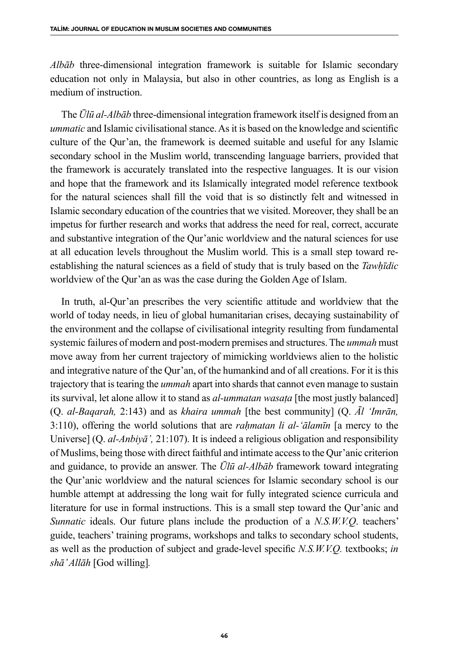*Albāb* three-dimensional integration framework is suitable for Islamic secondary education not only in Malaysia, but also in other countries, as long as English is a medium of instruction.

The *Ūlū al-Albāb* three-dimensional integration framework itself is designed from an *ummatic* and Islamic civilisational stance. As it is based on the knowledge and scientific culture of the Qur'an, the framework is deemed suitable and useful for any Islamic secondary school in the Muslim world, transcending language barriers, provided that the framework is accurately translated into the respective languages. It is our vision and hope that the framework and its Islamically integrated model reference textbook for the natural sciences shall fill the void that is so distinctly felt and witnessed in Islamic secondary education of the countries that we visited. Moreover, they shall be an impetus for further research and works that address the need for real, correct, accurate and substantive integration of the Qur'anic worldview and the natural sciences for use at all education levels throughout the Muslim world. This is a small step toward reestablishing the natural sciences as a field of study that is truly based on the *Tawhīdic* worldview of the Qur'an as was the case during the Golden Age of Islam.

In truth, al-Qur'an prescribes the very scientific attitude and worldview that the world of today needs, in lieu of global humanitarian crises, decaying sustainability of the environment and the collapse of civilisational integrity resulting from fundamental systemic failures of modern and post-modern premises and structures. The *ummah* must move away from her current trajectory of mimicking worldviews alien to the holistic and integrative nature of the Qur'an, of the humankind and of all creations. For it is this trajectory that is tearing the *ummah* apart into shards that cannot even manage to sustain its survival, let alone allow it to stand as *al-ummatan wasaṭa* [the most justly balanced] (Q. *al-Baqarah,* 2:143) and as *khaira ummah* [the best community] (Q. *Ᾱl 'Imrān,*  3:110), offering the world solutions that are *raḥmatan li al-'ālamīn* [a mercy to the Universe] (Q. *al-Anbiyā',* 21:107). It is indeed a religious obligation and responsibility of Muslims, being those with direct faithful and intimate access to the Qur'anic criterion and guidance, to provide an answer. The *Ūlū al-Albāb* framework toward integrating the Qur'anic worldview and the natural sciences for Islamic secondary school is our humble attempt at addressing the long wait for fully integrated science curricula and literature for use in formal instructions. This is a small step toward the Qur'anic and *Sunnatic* ideals. Our future plans include the production of a *N.S.W.V.Q*. teachers' guide, teachers' training programs, workshops and talks to secondary school students, as well as the production of subject and grade-level specific *N.S.W.V.Q.* textbooks; *in shā' Allāh* [God willing]*.*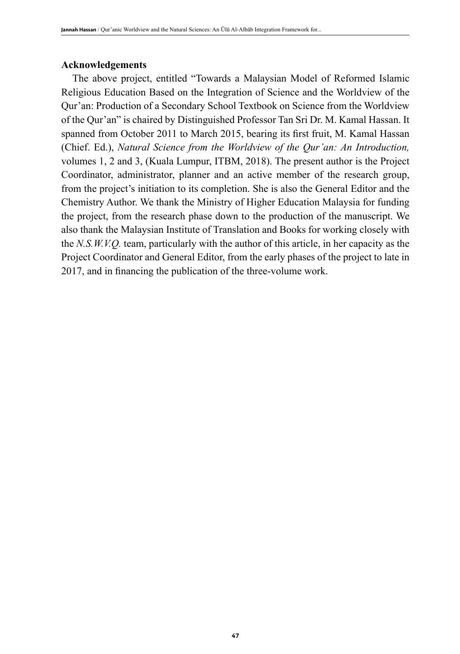## **Acknowledgements**

The above project, entitled "Towards a Malaysian Model of Reformed Islamic Religious Education Based on the Integration of Science and the Worldview of the Qur'an: Production of a Secondary School Textbook on Science from the Worldview of the Qur'an" is chaired by Distinguished Professor Tan Sri Dr. M. Kamal Hassan. It spanned from October 2011 to March 2015, bearing its first fruit, M. Kamal Hassan (Chief. Ed.), *Natural Science from the Worldview of the Qur'an: An Introduction,*  volumes 1, 2 and 3, (Kuala Lumpur, ITBM, 2018). The present author is the Project Coordinator, administrator, planner and an active member of the research group, from the project's initiation to its completion. She is also the General Editor and the Chemistry Author. We thank the Ministry of Higher Education Malaysia for funding the project, from the research phase down to the production of the manuscript. We also thank the Malaysian Institute of Translation and Books for working closely with the *N.S.W.V.Q.* team, particularly with the author of this article, in her capacity as the Project Coordinator and General Editor, from the early phases of the project to late in 2017, and in financing the publication of the three-volume work.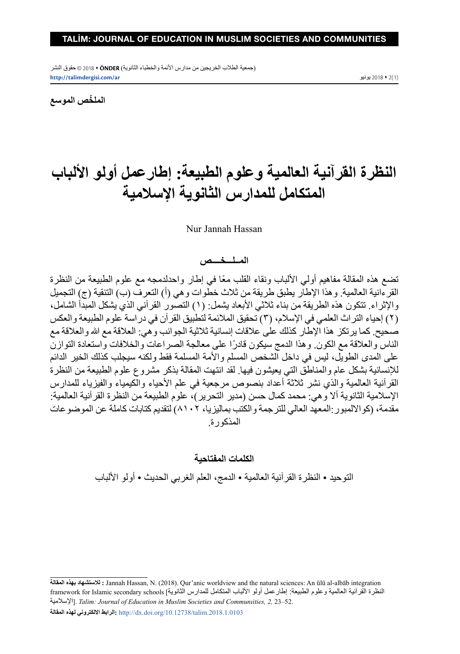)جمعية الطالب الخريجين من مدارس األئمة والخطباء الثانوية( **ÖNDER** 2018 © حقوق النشر **http://talimdergisi.com/ar** يونيو 2018 2(1)

**ّ الملخص الموسع**

# **النظرة القرآنية العالمية وعلوم الطبيعة: إطارعمل أولو األلباب المتكامل للمدارس الثانوية اإلسالمية**

#### Nur Jannah Hassan

#### **المــلـــخــــص**

تضع هذه المقالة مفاهيم أولي الألباب ونقاء القلب معًا في إطار واحدلدمجه مع علوم الطبيعة من النظر ة القرءانية العالمية. وهذا الإطار يطبق طريقة من ثلاث خطوات وهي (أ) التعرف (ب) التنقية (ج) التجميل والإثراء. تتكون هذه الطريقة من بناء ثلاثي الأبعاد يشمل: (١) التصور القرآني الذي يشكل المبدأ الشامل، )٢( إحياء التراث العلمي في اإلسالم، )٣( تحقيق المالئمة لتطبيق القرآن في دراسة علوم الطبيعة والعكس صحيح. كما يرتكز هذا الإطار كذلك على علاقات إنسانية ثلاثية الجوانب وهي: العلاقة مع الله والعلاقة مع الناس والعلاقة مع الكون. وهذا الدمج سيكون قادرًا على معالجة الصراعات والخلافات واستعادة التوازن على المدى الطويل، ليس في داخل الشخص المسلم واألمة المسلمة فقط ولكنه سيجلب كذلك الخير الدائم لإلنسانية بشكل عام والمناطق التي يعيشون فيها. لقد انتهت المقالة بذكر مشروع علوم الطبيعة من النظرة القرآنية العالمية والذي نشر ثالثة أعداد بنصوص مرجعية في علم األحياء والكيمياء والفيزياء للمدارس الإسلامية الثانوية ألا وهي: محمد كمال حسن (مدير التحرير)، علوم الطبيعة من النظرة القرآنية العالمية: مقدمة، )كوااللمبور:المعهد العالي للترجمة والكتب بماليزيا، ٨١٠٢( لتقديم كتابات كاملة عن الموضوعات المذكورة.

#### **الكلمات المفتاحية**

التوحيد • النظرة القرآنية العالمية • الدمج، العلم الغربي الحديث • أولو األلباب

**المقالة بهذه لالستشهاد :** Jannah Hassan, N. (2018). Qur'anic worldview and the natural sciences: An ūlū al-albāb integration النظرة القرآنية العالمية وعلوم الطبيعة: إطارعمل أولو الألباب المتكامل للمدارس الثانوية] framework for Islamic secondary schools اإلسالمية[. *Talim: Journal of Education in Muslim Societies and Communıities, 2,* 23–52. **المقالة لهذه االلكتروني الرابط:** http://dx.doi.org/10.12738/talim.2018.1.0103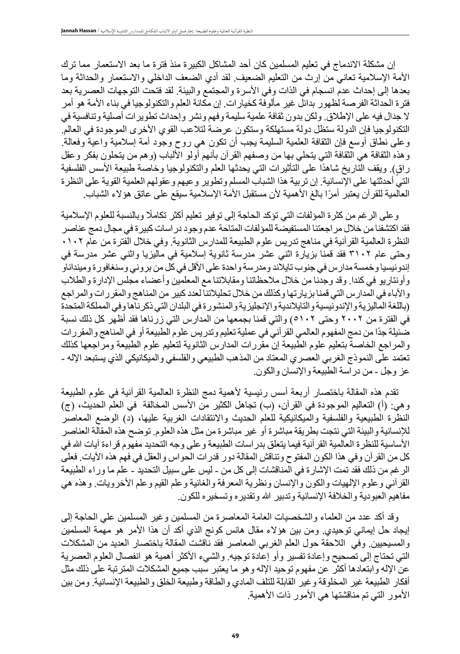إن مشكلة االندماج في تعليم المسلمين كان أحد المشاكل الكبيرة منذ فترة ما بعد االستعمار مما ترك األمة اإلسالمية تعاني من إرث من التعليم الضعيف. لقد أدي الضعف الداخلي واالستعمار والحداثة وما بعدها إلى إحداث عدم انسجام في الذات وفي الأسرة والمجتمع والبيئة. لقد فتحت التوجهات العصرية بعد فترة الحداثة الفرصة لظهور بدائل غير مألوفة كخيارات. إن مكانة العلم والتكنولوجيا في بناء األمة هو أمر ال جدال فيه على اإلطالق. ولكن بدون ثقافة علمية سليمة وفهم ونشر وإحداث تطويرات أصلية وتنافسية في التكنولوجيا فإن الدولة ستظل دولة مستهلكة وستكون عرضة لتالعب القوي األخرى الموجودة في العالم. وعلى نطاق أوسع فإن الثقافة العلمية السليمة يجب أن تكون هي روح وجود أمة إسالمية واعية وفعالة. وهذه الثقافة هي الثقافة التي يتحلي بها من وصفهم القرآن بأنهم أولو الألباب (وهم من يتحلون بفكر وعقل راق). ويقف التاريخ شاهدًا على التأثيرات التي يحدثها العلم والتكنولوجيا وخاصة طبيعة الأسس الفلسفية التي أحدثتها على اإلنسانية. إن تربية هذا الشباب المسلم وتطوير وعيهم وعقولهم العلمية القوية على النظرة العالمية للقرآن يعتبر أمرًا بالغ الأهمية لأن مستقبل الأمة الإسلامية سيقع على عاتق هؤلاء الشباب.

وعلى الرغم من كثرة المؤلفات التي تؤكد الحاجة إلى توفير تعليم أكثر تكامًل وبالنسبة للعلوم اإلسالمية فقد اكتشفنا من خالل مراجعتنا المستفيضة للمؤلفات المتاحة عدم وجود دراسات كبيرة في مجال دمج عناصر النظرة العالمية القرآنية في مناهج تدريس علوم الطبيعة للمدارس الثانوية. وفي خالل الفترة من عام ٠١٠٢ وحتى عام ٣١٠٢ فقد قمنا بزيارة اثني عشر مدرسة ثانوية إسالمية في ماليزيا واثني عشر مدرسة في إندونيسيا وخمسة مدارس في جنوب تايلاند ومدرسة واحدة على الأقل في كل من بروني وسنغافورة ومينداناو وأونتاريو في كندا. وقد وجدنا من خالل مالحظاتنا ومقابالتنا مع المعلمين وأعضاء مجلس اإلدارة والطالب واآلباء في المدارس التي قمنا بزيارتها وكذلك من خالل تحليالتنا لعدد كبير من المناهج والمقررات والمراجع )باللغة الماليزية واإلندونيسية والتايالندية واإلنجليزية والمنشورة في البلدان التي ذكرناها وفي المملكة المتحدة في الفترة من ٢٠٠٢ وحتى ٥١٠٢( والتي قمنا بجمعها من المدارس التي زرناها فقد أظهر كل ذلك نسبة ً ضئيلة جدا من دمج المفهوم العالمي القرآني في عملية تعليم وتدريس علوم الطبيعة أو في المناهج والمقررات والمراجع الخاصة بتعليم علوم الطبيعة إن مقررات المدارس الثانوية لتعليم علوم الطبيعة ومراجعها كذلك تعتمد على النموذج الغربي العصري المعتاد من المذهب الطبيعي والفلسفي والميكانيكي الذي يستبعد اإلله - عز وجل - من دراسة الطبيعة واإلنسان والكون.

تقدم هذه المقالة باختصار أربعة أسس رئيسية لأهمية دمج النظرة العالمية القرآنية في علوم الطبيعة وهي: (أ) التعاليم الموجودة في القرآن، (ب) تجاهل الكثير من الأسس المخالفة ً في العلم الحديث، (ج) النظرة الطبيعية والفلسفية والميكانيكية للعلم الحديث والانتقادات الغربية عليها، (د) الوضع المعاصر لإلنسانية والبيئة التي نتجت بطريقة مباشرة أو غير مباشرة من مثل هذه العلوم. توضح هذه المقالة العناصر الأساسية للنظرة العالمية القرآنية فيما يتعلق بدراسات الطبيعة وعلى وجه التحديد مفهوم قراءة آيات الله في كل من القرآن وفي هذا الكون المفتوح وتناقش المقالة دور قدرات الحواس والعقل في فهم هذه اآليات. فعلى الرغم من ذلك فقد تمت اإلشارة في المناقشات إلى كل من - ليس على سبيل التحديد - علم ما وراء الطبيعة القرآني وعلوم اإللهيات والكون واإلنسان ونظرية المعرفة والغائية وعلم القيم وعلم األخرويات. وهذه هي مفاهيم العبودية والخلافة الإنسانية وتدبير الله وتقديره وتسخيره للكون.

وقد أكد عدد من العلماء والشخصيات العامة المعاصرة من المسلمين وغير المسلمين علي الحاجة إلى إيجاد حل إيماني توحيدي. ومن بين هؤالء مقال هانس كونج الذي أكد أن هذا األمر هو مهمة المسلمين والمسيحيين. وفي الالحقة حول العلم الغربي المعاصر فقد ناقشت المقالة باختصار العديد من المشكالت التي تحتاج إلى تصحيح وإعادة تفسير وأو إعادة توجيه. والشيء األكثر أهمية هو انفصال العلوم العصرية عن اإلله وابتعادها أكثر عن مفهوم توحيد اإلله وهو ما يعتبر سبب جميع المشكالت المترتبة على ذلك مثل أفكار الطبيعة غير المخلوقة وغير القابلة للتلف المادي والطاقة وطبيعة الخلق والطبيعة اإلنسانية. ومن بين الأمور التي تم مناقشتها هي الأمور ذات الأهمية.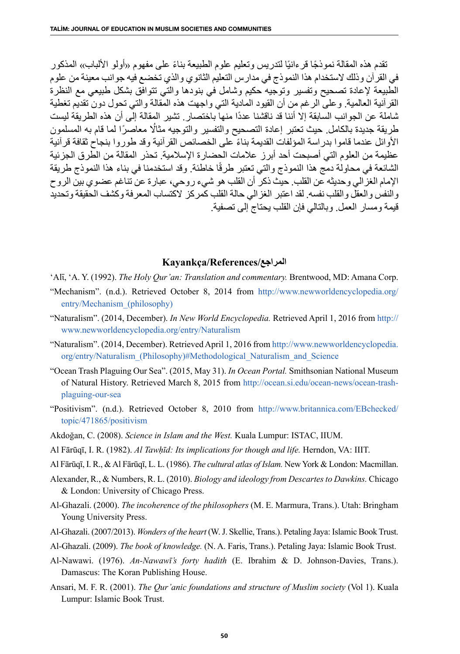تقدم هذه المقالة نموذجًا قرءانيًا لتدريس وتعليم علوم الطبيعة بناءً على مفهوم «اولو الألباب» المذكور في القرآن وذلك الستخدام هذا النموذج في مدارس التعليم الثانوي والذي تخضع فيه جوانب معينة من علوم الطبيعة إلعادة تصحيح وتفسير وتوجيه حكيم وشامل في بنودها والتي تتوافق بشكل طبيعي مع النظرة القرآنية العالمية. وعلى الرغم من أن القيود المادية التي واجهت هذه المقالة والتي تحول دون تقديم تغطية شاملة عن الجوانب السابقة إلا أننا قد ناقشنا عددًا منها باختصار . تشير المقالة إلى أن هذه الطريقة ليست طريقة جديدة بالكامل. حيث تعتبر إعادة التصحيح والتفسير والتوجيه مثاُل ً معاصرا لما قام به المسلمون ً األوائل عندما قاموا بدراسة المؤلفات القديمة بناء على الخصائص القرآنية وقد طوروا بنجاح ثقافة قرآنية عظيمة من العلوم التي أصبحت أحد أبرز عالمات الحضارة اإلسالمية. تحذر المقالة من الطرق الجزئية الشائعة في محاولة دمج هذا النموذج والتي تعتبر طرقًا خاطئة. وقد استخدمنا في بناء هذا النموذج طريقة اإلمام الغزالي وحديثه عن القلب. حيث ذكر أن القلب هو شيء روحي، عبارة عن تناغم عضوي بين الروح والنفس والعقل والقلب نفسه. لقد اعتبر الغزالي حالة القلب كمركز الكتساب المعرفة وكشف الحقيقة وتحديد قيمة ومسار العمل. وبالتالي فإن القلب يحتاج إلى تصفية.

#### **Kayankça/References/المراجع**

- 'Alī, 'A. Y. (1992). *The Holy Qur'an: Translation and commentary*. Brentwood, MD: Amana Corp.
- "Mechanism". (n.d.). Retrieved October 8, 2014 from http://www.newworldencyclopedia.org/ entry/Mechanism\_(philosophy)
- "Naturalism". (2014, December). *In New World Encyclopedia.* Retrieved April 1, 2016 from http:// www.newworldencyclopedia.org/entry/Naturalism
- "Naturalism". (2014, December). Retrieved April 1, 2016 from http://www.newworldencyclopedia. org/entry/Naturalism\_(Philosophy)#Methodological\_Naturalism\_and\_Science
- "Ocean Trash Plaguing Our Sea". (2015, May 31). *In Ocean Portal.* Smithsonian National Museum of Natural History. Retrieved March 8, 2015 from http://ocean.si.edu/ocean-news/ocean-trashplaguing-our-sea
- "Positivism". (n.d.). Retrieved October 8, 2010 from http://www.britannica.com/EBchecked/ topic/471865/positivism
- Akdoğan, C. (2008). *Science in Islam and the West.* Kuala Lumpur: ISTAC, IIUM.
- Al Fārūqī, I. R. (1982). *Al Tawḥīd: Its implications for though and life.* Herndon, VA: IIIT.
- Al Fārūqī, I. R., & Al Fārūqī, L. L. (1986). *The cultural atlas of Islam.* New York & London: Macmillan.
- Alexander, R., & Numbers, R. L. (2010). *Biology and ideology from Descartes to Dawkins.* Chicago & London: University of Chicago Press.
- Al-Ghazali. (2000). *The incoherence of the philosophers* (M. E. Marmura, Trans.). Utah: Bringham Young University Press.
- Al-Ghazali. (2007/2013). *Wonders of the heart* (W. J. Skellie, Trans.). Petaling Jaya: Islamic Book Trust.
- Al-Ghazali. (2009). *The book of knowledge.* (N. A. Faris, Trans.). Petaling Jaya: Islamic Book Trust.
- Al-Nawawi. (1976). *An-Nawawī's forty hadith* (E. Ibrahim & D. Johnson-Davies, Trans.). Damascus: The Koran Publishing House.
- Ansari, M. F. R. (2001). *The Qur'anic foundations and structure of Muslim society* (Vol 1). Kuala Lumpur: Islamic Book Trust.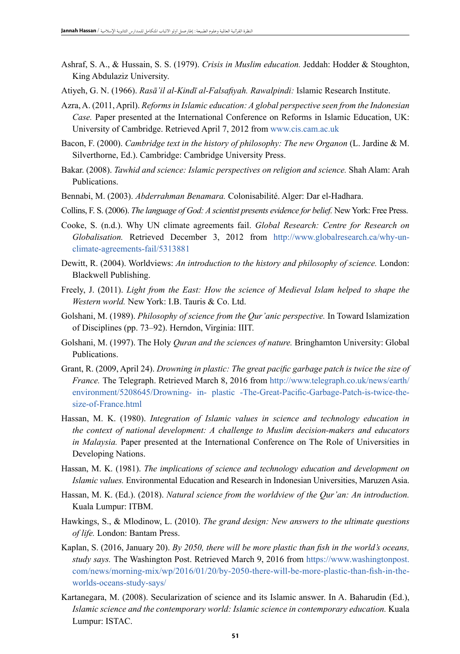- Ashraf, S. A., & Hussain, S. S. (1979). *Crisis in Muslim education.* Jeddah: Hodder & Stoughton, King Abdulaziz University.
- Atiyeh, G. N. (1966). *Rasā'il al-Kindī al-Falsafiyah. Rawalpindi:* Islamic Research Institute.
- Azra, A. (2011, April). *Reforms in Islamic education: A global perspective seen from the Indonesian Case.* Paper presented at the International Conference on Reforms in Islamic Education, UK: University of Cambridge. Retrieved April 7, 2012 from www.cis.cam.ac.uk
- Bacon, F. (2000). *Cambridge text in the history of philosophy: The new Organon* (L. Jardine & M. Silverthorne, Ed.). Cambridge: Cambridge University Press.
- Bakar. (2008). *Tawhid and science: Islamic perspectives on religion and science.* Shah Alam: Arah Publications.
- Bennabi, M. (2003). *Abderrahman Benamara.* Colonisabilité. Alger: Dar el-Hadhara.
- Collins, F. S. (2006). *The language of God: A scientist presents evidence for belief.* New York: Free Press.
- Cooke, S. (n.d.). Why UN climate agreements fail. *Global Research: Centre for Research on Globalisation.* Retrieved December 3, 2012 from http://www.globalresearch.ca/why-unclimate-agreements-fail/5313881
- Dewitt, R. (2004). Worldviews: *An introduction to the history and philosophy of science.* London: Blackwell Publishing.
- Freely, J. (2011). *Light from the East: How the science of Medieval Islam helped to shape the Western world.* New York: I.B. Tauris & Co. Ltd.
- Golshani, M. (1989). *Philosophy of science from the Qur'anic perspective.* In Toward Islamization of Disciplines (pp. 73–92). Herndon, Virginia: IIIT.
- Golshani, M. (1997). The Holy *Quran and the sciences of nature.* Bringhamton University: Global Publications.
- Grant, R. (2009, April 24). *Drowning in plastic: The great pacific garbage patch is twice the size of France.* The Telegraph. Retrieved March 8, 2016 from http://www.telegraph.co.uk/news/earth/ environment/5208645/Drowning- in- plastic -The-Great-Pacific-Garbage-Patch-is-twice-thesize-of-France.html
- Hassan, M. K. (1980). *Integration of Islamic values in science and technology education in the context of national development: A challenge to Muslim decision-makers and educators in Malaysia.* Paper presented at the International Conference on The Role of Universities in Developing Nations.
- Hassan, M. K. (1981). *The implications of science and technology education and development on Islamic values.* Environmental Education and Research in Indonesian Universities, Maruzen Asia.
- Hassan, M. K. (Ed.). (2018). *Natural science from the worldview of the Qur'an: An introduction.*  Kuala Lumpur: ITBM.
- Hawkings, S., & Mlodinow, L. (2010). *The grand design: New answers to the ultimate questions of life.* London: Bantam Press.
- Kaplan, S. (2016, January 20). *By 2050, there will be more plastic than fish in the world's oceans, study says.* The Washington Post. Retrieved March 9, 2016 from https://www.washingtonpost. com/news/morning-mix/wp/2016/01/20/by-2050-there-will-be-more-plastic-than-fish-in-theworlds-oceans-study-says/
- Kartanegara, M. (2008). Secularization of science and its Islamic answer. In A. Baharudin (Ed.), Islamic science and the contemporary world: Islamic science in contemporary education. Kuala Lumpur: ISTAC.